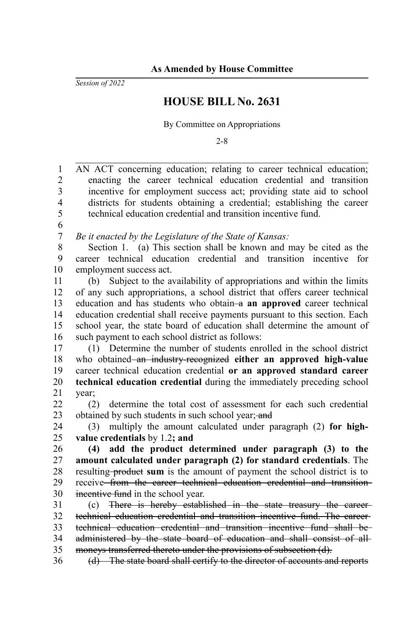*Session of 2022*

## **HOUSE BILL No. 2631**

By Committee on Appropriations

2-8

AN ACT concerning education; relating to career technical education; enacting the career technical education credential and transition incentive for employment success act; providing state aid to school districts for students obtaining a credential; establishing the career technical education credential and transition incentive fund. *Be it enacted by the Legislature of the State of Kansas:* Section 1. (a) This section shall be known and may be cited as the career technical education credential and transition incentive for employment success act. (b) Subject to the availability of appropriations and within the limits of any such appropriations, a school district that offers career technical education and has students who obtain-a an approved career technical education credential shall receive payments pursuant to this section. Each school year, the state board of education shall determine the amount of such payment to each school district as follows: (1) Determine the number of students enrolled in the school district who obtained an industry-recognized either an approved high-value career technical education credential **or an approved standard career technical education credential** during the immediately preceding school year; (2) determine the total cost of assessment for each such credential obtained by such students in such school year; and (3) multiply the amount calculated under paragraph (2) **for highvalue credentials** by 1.2**; and (4) add the product determined under paragraph (3) to the amount calculated under paragraph (2) for standard credentials**. The resulting **product sum** is the amount of payment the school district is to receive from the career technical education credential and transition incentive fund in the school year. (c) There is hereby established in the state treasury the career technical education credential and transition incentive fund. The career technical education credential and transition incentive fund shall be administered by the state board of education and shall consist of all moneys transferred thereto under the provisions of subsection (d). (d) The state board shall certify to the director of accounts and reports 1 2 3 4 5 6 7 8 9 10 11 12 13 14 15 16 17 18 19 20 21 22 23 24 25 26 27 28 29 30 31 32 33 34 35 36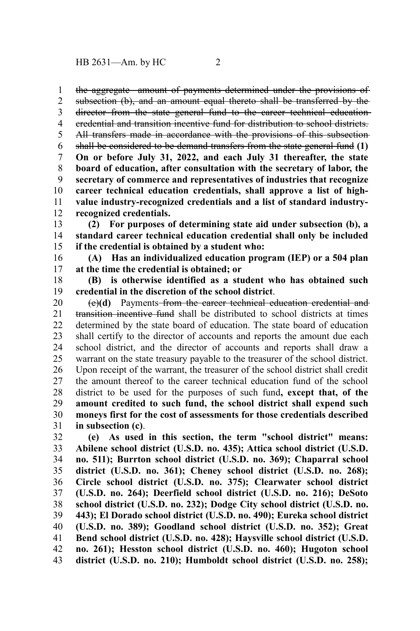the aggregate amount of payments determined under the provisions of 1

subsection (b), and an amount equal thereto shall be transferred by the director from the state general fund to the career technical educationcredential and transition incentive fund for distribution to school districts. All transfers made in accordance with the provisions of this subsectionshall be considered to be demand transfers from the state general fund **(1) On or before July 31, 2022, and each July 31 thereafter, the state board of education, after consultation with the secretary of labor, the secretary of commerce and representatives of industries that recognize career technical education credentials, shall approve a list of highvalue industry-recognized credentials and a list of standard industryrecognized credentials.** 2 3 4 5 6 7 8 9 10 11 12

**(2) For purposes of determining state aid under subsection (b), a standard career technical education credential shall only be included if the credential is obtained by a student who:** 13 14 15

**(A) Has an individualized education program (IEP) or a 504 plan at the time the credential is obtained; or** 16 17

**(B) is otherwise identified as a student who has obtained such credential in the discretion of the school district**. 18 19

(e)**(d)** Payments from the career technical education credential and transition incentive fund shall be distributed to school districts at times determined by the state board of education. The state board of education shall certify to the director of accounts and reports the amount due each school district, and the director of accounts and reports shall draw a warrant on the state treasury payable to the treasurer of the school district. Upon receipt of the warrant, the treasurer of the school district shall credit the amount thereof to the career technical education fund of the school district to be used for the purposes of such fund**, except that, of the amount credited to such fund, the school district shall expend such moneys first for the cost of assessments for those credentials described in subsection (c)**. 20 21 22 23 24 25 26 27 28 29 30 31

**(e) As used in this section, the term "school district" means: Abilene school district (U.S.D. no. 435); Attica school district (U.S.D. no. 511); Burrton school district (U.S.D. no. 369); Chaparral school district (U.S.D. no. 361); Cheney school district (U.S.D. no. 268); Circle school district (U.S.D. no. 375); Clearwater school district (U.S.D. no. 264); Deerfield school district (U.S.D. no. 216); DeSoto school district (U.S.D. no. 232); Dodge City school district (U.S.D. no. 443); El Dorado school district (U.S.D. no. 490); Eureka school district (U.S.D. no. 389); Goodland school district (U.S.D. no. 352); Great Bend school district (U.S.D. no. 428); Haysville school district (U.S.D. no. 261); Hesston school district (U.S.D. no. 460); Hugoton school district (U.S.D. no. 210); Humboldt school district (U.S.D. no. 258);** 32 33 34 35 36 37 38 39 40 41 42 43